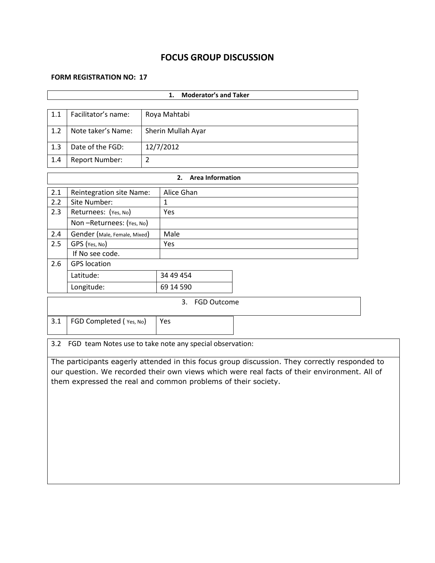# **FOCUS GROUP DISCUSSION**

#### **FORM REGISTRATION NO: 17**

| <b>Moderator's and Taker</b><br>1.                              |                              |                    |              |  |  |  |  |
|-----------------------------------------------------------------|------------------------------|--------------------|--------------|--|--|--|--|
|                                                                 |                              |                    |              |  |  |  |  |
| 1.1                                                             | Facilitator's name:          | Roya Mahtabi       |              |  |  |  |  |
| 1.2                                                             | Note taker's Name:           | Sherin Mullah Ayar |              |  |  |  |  |
| 1.3                                                             | Date of the FGD:             | 12/7/2012          |              |  |  |  |  |
| 1.4                                                             | Report Number:               | $\overline{2}$     |              |  |  |  |  |
| <b>Area Information</b><br>2.                                   |                              |                    |              |  |  |  |  |
| 2.1                                                             | Reintegration site Name:     |                    | Alice Ghan   |  |  |  |  |
| 2.2                                                             | Site Number:                 |                    | $\mathbf{1}$ |  |  |  |  |
| 2.3                                                             | Returnees: (Yes, No)         |                    | Yes          |  |  |  |  |
|                                                                 | Non-Returnees: (Yes, No)     |                    |              |  |  |  |  |
| 2.4                                                             | Gender (Male, Female, Mixed) |                    | Male         |  |  |  |  |
| 2.5                                                             | GPS (Yes, No)                |                    | Yes          |  |  |  |  |
|                                                                 | If No see code.              |                    |              |  |  |  |  |
| 2.6                                                             | <b>GPS</b> location          |                    |              |  |  |  |  |
|                                                                 | Latitude:                    |                    | 34 49 454    |  |  |  |  |
|                                                                 | Longitude:                   |                    | 69 14 590    |  |  |  |  |
| <b>FGD Outcome</b><br>3.                                        |                              |                    |              |  |  |  |  |
| 3.1                                                             | FGD Completed (Yes, No)      |                    | Yes          |  |  |  |  |
| 3.2<br>FGD team Notes use to take note any special observation: |                              |                    |              |  |  |  |  |

The participants eagerly attended in this focus group discussion. They correctly responded to our question. We recorded their own views which were real facts of their environment. All of them expressed the real and common problems of their society.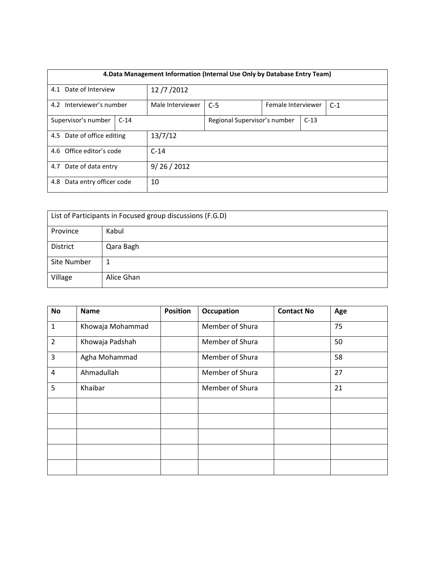| 4. Data Management Information (Internal Use Only by Database Entry Team) |  |                  |                              |                    |        |       |  |  |
|---------------------------------------------------------------------------|--|------------------|------------------------------|--------------------|--------|-------|--|--|
| 4.1 Date of Interview                                                     |  | 12/7/2012        |                              |                    |        |       |  |  |
| 4.2 Interviewer's number                                                  |  | Male Interviewer | $C-5$                        | Female Interviewer |        | $C-1$ |  |  |
| Supervisor's number<br>$C-14$                                             |  |                  | Regional Supervisor's number |                    | $C-13$ |       |  |  |
| 4.5 Date of office editing                                                |  | 13/7/12          |                              |                    |        |       |  |  |
| 4.6 Office editor's code                                                  |  |                  | $C-14$                       |                    |        |       |  |  |
| Date of data entry<br>4.7                                                 |  |                  | 9/26/2012                    |                    |        |       |  |  |
| Data entry officer code<br>4.8                                            |  |                  | 10                           |                    |        |       |  |  |

| List of Participants in Focused group discussions (F.G.D) |            |  |  |  |
|-----------------------------------------------------------|------------|--|--|--|
| Province                                                  | Kabul      |  |  |  |
| District                                                  | Qara Bagh  |  |  |  |
| Site Number                                               |            |  |  |  |
| Village                                                   | Alice Ghan |  |  |  |

| No             | <b>Name</b>      | <b>Position</b> | Occupation      | <b>Contact No</b> | Age |
|----------------|------------------|-----------------|-----------------|-------------------|-----|
| $\mathbf{1}$   | Khowaja Mohammad |                 | Member of Shura |                   | 75  |
| $\overline{2}$ | Khowaja Padshah  |                 | Member of Shura |                   | 50  |
| 3              | Agha Mohammad    |                 | Member of Shura |                   | 58  |
| 4              | Ahmadullah       |                 | Member of Shura |                   | 27  |
| 5              | Khaibar          |                 | Member of Shura |                   | 21  |
|                |                  |                 |                 |                   |     |
|                |                  |                 |                 |                   |     |
|                |                  |                 |                 |                   |     |
|                |                  |                 |                 |                   |     |
|                |                  |                 |                 |                   |     |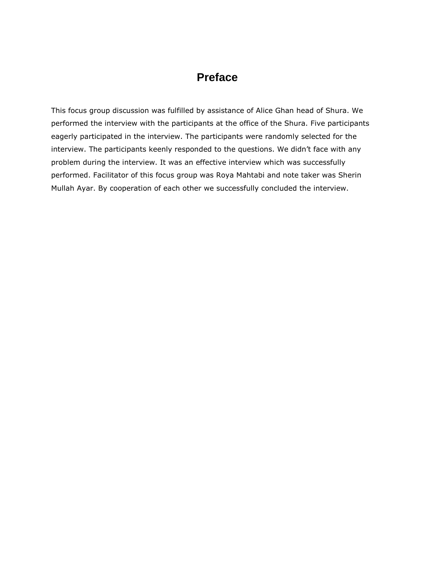# **Preface**

This focus group discussion was fulfilled by assistance of Alice Ghan head of Shura. We performed the interview with the participants at the office of the Shura. Five participants eagerly participated in the interview. The participants were randomly selected for the interview. The participants keenly responded to the questions. We didn't face with any problem during the interview. It was an effective interview which was successfully performed. Facilitator of this focus group was Roya Mahtabi and note taker was Sherin Mullah Ayar. By cooperation of each other we successfully concluded the interview.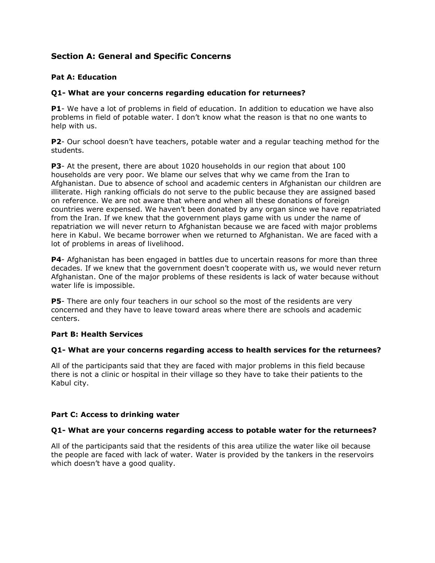# **Section A: General and Specific Concerns**

### **Pat A: Education**

### **Q1- What are your concerns regarding education for returnees?**

**P1**- We have a lot of problems in field of education. In addition to education we have also problems in field of potable water. I don't know what the reason is that no one wants to help with us.

**P2**- Our school doesn't have teachers, potable water and a regular teaching method for the students.

**P3**- At the present, there are about 1020 households in our region that about 100 households are very poor. We blame our selves that why we came from the Iran to Afghanistan. Due to absence of school and academic centers in Afghanistan our children are illiterate. High ranking officials do not serve to the public because they are assigned based on reference. We are not aware that where and when all these donations of foreign countries were expensed. We haven't been donated by any organ since we have repatriated from the Iran. If we knew that the government plays game with us under the name of repatriation we will never return to Afghanistan because we are faced with major problems here in Kabul. We became borrower when we returned to Afghanistan. We are faced with a lot of problems in areas of livelihood.

**P4**- Afghanistan has been engaged in battles due to uncertain reasons for more than three decades. If we knew that the government doesn't cooperate with us, we would never return Afghanistan. One of the major problems of these residents is lack of water because without water life is impossible.

**P5**- There are only four teachers in our school so the most of the residents are very concerned and they have to leave toward areas where there are schools and academic centers.

### **Part B: Health Services**

### **Q1- What are your concerns regarding access to health services for the returnees?**

All of the participants said that they are faced with major problems in this field because there is not a clinic or hospital in their village so they have to take their patients to the Kabul city.

### **Part C: Access to drinking water**

### **Q1- What are your concerns regarding access to potable water for the returnees?**

All of the participants said that the residents of this area utilize the water like oil because the people are faced with lack of water. Water is provided by the tankers in the reservoirs which doesn't have a good quality.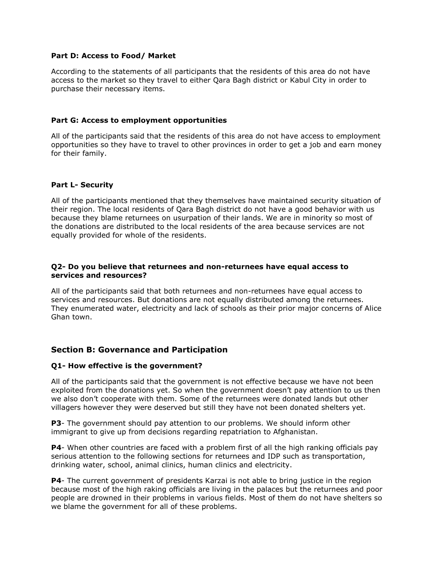#### **Part D: Access to Food/ Market**

According to the statements of all participants that the residents of this area do not have access to the market so they travel to either Qara Bagh district or Kabul City in order to purchase their necessary items.

#### **Part G: Access to employment opportunities**

All of the participants said that the residents of this area do not have access to employment opportunities so they have to travel to other provinces in order to get a job and earn money for their family.

#### **Part L- Security**

All of the participants mentioned that they themselves have maintained security situation of their region. The local residents of Qara Bagh district do not have a good behavior with us because they blame returnees on usurpation of their lands. We are in minority so most of the donations are distributed to the local residents of the area because services are not equally provided for whole of the residents.

#### **Q2- Do you believe that returnees and non-returnees have equal access to services and resources?**

All of the participants said that both returnees and non-returnees have equal access to services and resources. But donations are not equally distributed among the returnees. They enumerated water, electricity and lack of schools as their prior major concerns of Alice Ghan town.

### **Section B: Governance and Participation**

### **Q1- How effective is the government?**

All of the participants said that the government is not effective because we have not been exploited from the donations yet. So when the government doesn't pay attention to us then we also don't cooperate with them. Some of the returnees were donated lands but other villagers however they were deserved but still they have not been donated shelters yet.

**P3**- The government should pay attention to our problems. We should inform other immigrant to give up from decisions regarding repatriation to Afghanistan.

**P4**- When other countries are faced with a problem first of all the high ranking officials pay serious attention to the following sections for returnees and IDP such as transportation, drinking water, school, animal clinics, human clinics and electricity.

**P4**- The current government of presidents Karzai is not able to bring justice in the region because most of the high raking officials are living in the palaces but the returnees and poor people are drowned in their problems in various fields. Most of them do not have shelters so we blame the government for all of these problems.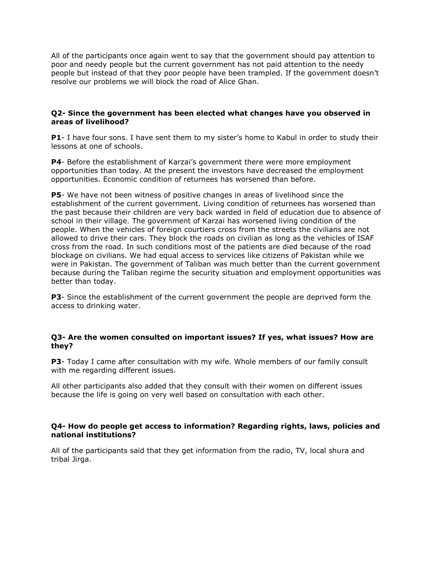All of the participants once again went to say that the government should pay attention to poor and needy people but the current government has not paid attention to the needy people but instead of that they poor people have been trampled. If the government doesn't resolve our problems we will block the road of Alice Ghan.

#### **Q2- Since the government has been elected what changes have you observed in areas of livelihood?**

**P1**- I have four sons. I have sent them to my sister's home to Kabul in order to study their lessons at one of schools.

**P4**- Before the establishment of Karzai's government there were more employment opportunities than today. At the present the investors have decreased the employment opportunities. Economic condition of returnees has worsened than before.

**P5**- We have not been witness of positive changes in areas of livelihood since the establishment of the current government. Living condition of returnees has worsened than the past because their children are very back warded in field of education due to absence of school in their village. The government of Karzai has worsened living condition of the people. When the vehicles of foreign courtiers cross from the streets the civilians are not allowed to drive their cars. They block the roads on civilian as long as the vehicles of ISAF cross from the road. In such conditions most of the patients are died because of the road blockage on civilians. We had equal access to services like citizens of Pakistan while we were in Pakistan. The government of Taliban was much better than the current government because during the Taliban regime the security situation and employment opportunities was better than today.

**P3**- Since the establishment of the current government the people are deprived form the access to drinking water.

### **Q3- Are the women consulted on important issues? If yes, what issues? How are they?**

**P3**- Today I came after consultation with my wife. Whole members of our family consult with me regarding different issues.

All other participants also added that they consult with their women on different issues because the life is going on very well based on consultation with each other.

### **Q4- How do people get access to information? Regarding rights, laws, policies and national institutions?**

All of the participants said that they get information from the radio, TV, local shura and tribal Jirga.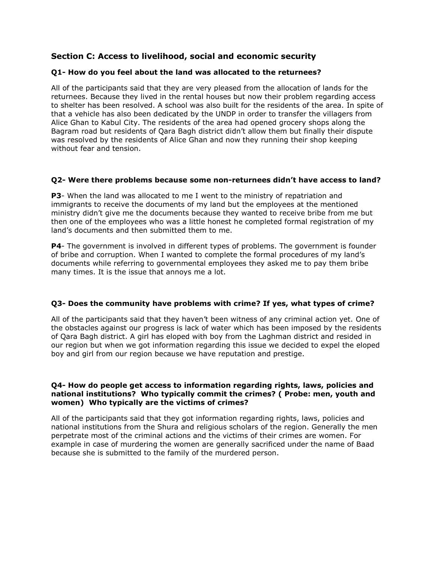# **Section C: Access to livelihood, social and economic security**

### **Q1- How do you feel about the land was allocated to the returnees?**

All of the participants said that they are very pleased from the allocation of lands for the returnees. Because they lived in the rental houses but now their problem regarding access to shelter has been resolved. A school was also built for the residents of the area. In spite of that a vehicle has also been dedicated by the UNDP in order to transfer the villagers from Alice Ghan to Kabul City. The residents of the area had opened grocery shops along the Bagram road but residents of Qara Bagh district didn't allow them but finally their dispute was resolved by the residents of Alice Ghan and now they running their shop keeping without fear and tension.

### **Q2- Were there problems because some non-returnees didn't have access to land?**

**P3**- When the land was allocated to me I went to the ministry of repatriation and immigrants to receive the documents of my land but the employees at the mentioned ministry didn't give me the documents because they wanted to receive bribe from me but then one of the employees who was a little honest he completed formal registration of my land's documents and then submitted them to me.

**P4**- The government is involved in different types of problems. The government is founder of bribe and corruption. When I wanted to complete the formal procedures of my land's documents while referring to governmental employees they asked me to pay them bribe many times. It is the issue that annoys me a lot.

### **Q3- Does the community have problems with crime? If yes, what types of crime?**

All of the participants said that they haven't been witness of any criminal action yet. One of the obstacles against our progress is lack of water which has been imposed by the residents of Qara Bagh district. A girl has eloped with boy from the Laghman district and resided in our region but when we got information regarding this issue we decided to expel the eloped boy and girl from our region because we have reputation and prestige.

#### **Q4- How do people get access to information regarding rights, laws, policies and national institutions? Who typically commit the crimes? ( Probe: men, youth and women) Who typically are the victims of crimes?**

All of the participants said that they got information regarding rights, laws, policies and national institutions from the Shura and religious scholars of the region. Generally the men perpetrate most of the criminal actions and the victims of their crimes are women. For example in case of murdering the women are generally sacrificed under the name of Baad because she is submitted to the family of the murdered person.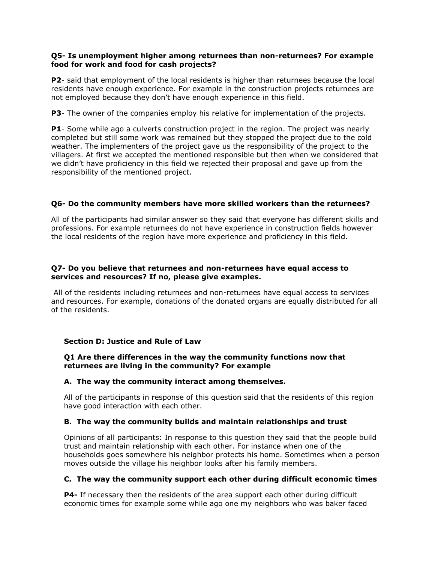### **Q5- Is unemployment higher among returnees than non-returnees? For example food for work and food for cash projects?**

**P2**- said that employment of the local residents is higher than returnees because the local residents have enough experience. For example in the construction projects returnees are not employed because they don't have enough experience in this field.

**P3**- The owner of the companies employ his relative for implementation of the projects.

**P1**- Some while ago a culverts construction project in the region. The project was nearly completed but still some work was remained but they stopped the project due to the cold weather. The implementers of the project gave us the responsibility of the project to the villagers. At first we accepted the mentioned responsible but then when we considered that we didn't have proficiency in this field we rejected their proposal and gave up from the responsibility of the mentioned project.

### **Q6- Do the community members have more skilled workers than the returnees?**

All of the participants had similar answer so they said that everyone has different skills and professions. For example returnees do not have experience in construction fields however the local residents of the region have more experience and proficiency in this field.

### **Q7- Do you believe that returnees and non-returnees have equal access to services and resources? If no, please give examples.**

All of the residents including returnees and non-returnees have equal access to services and resources. For example, donations of the donated organs are equally distributed for all of the residents.

### **Section D: Justice and Rule of Law**

### **Q1 Are there differences in the way the community functions now that returnees are living in the community? For example**

### **A. The way the community interact among themselves.**

All of the participants in response of this question said that the residents of this region have good interaction with each other.

### **B. The way the community builds and maintain relationships and trust**

Opinions of all participants: In response to this question they said that the people build trust and maintain relationship with each other. For instance when one of the households goes somewhere his neighbor protects his home. Sometimes when a person moves outside the village his neighbor looks after his family members.

### **C. The way the community support each other during difficult economic times**

**P4-** If necessary then the residents of the area support each other during difficult economic times for example some while ago one my neighbors who was baker faced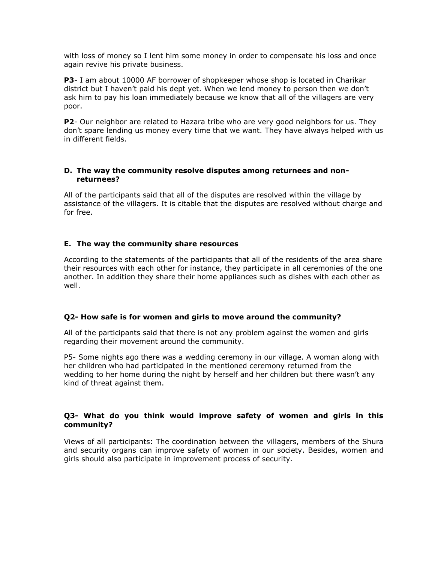with loss of money so I lent him some money in order to compensate his loss and once again revive his private business.

**P3**- I am about 10000 AF borrower of shopkeeper whose shop is located in Charikar district but I haven't paid his dept yet. When we lend money to person then we don't ask him to pay his loan immediately because we know that all of the villagers are very poor.

**P2**- Our neighbor are related to Hazara tribe who are very good neighbors for us. They don't spare lending us money every time that we want. They have always helped with us in different fields.

### **D. The way the community resolve disputes among returnees and nonreturnees?**

All of the participants said that all of the disputes are resolved within the village by assistance of the villagers. It is citable that the disputes are resolved without charge and for free.

### **E. The way the community share resources**

According to the statements of the participants that all of the residents of the area share their resources with each other for instance, they participate in all ceremonies of the one another. In addition they share their home appliances such as dishes with each other as well.

### **Q2- How safe is for women and girls to move around the community?**

All of the participants said that there is not any problem against the women and girls regarding their movement around the community.

P5- Some nights ago there was a wedding ceremony in our village. A woman along with her children who had participated in the mentioned ceremony returned from the wedding to her home during the night by herself and her children but there wasn't any kind of threat against them.

### **Q3- What do you think would improve safety of women and girls in this community?**

Views of all participants: The coordination between the villagers, members of the Shura and security organs can improve safety of women in our society. Besides, women and girls should also participate in improvement process of security.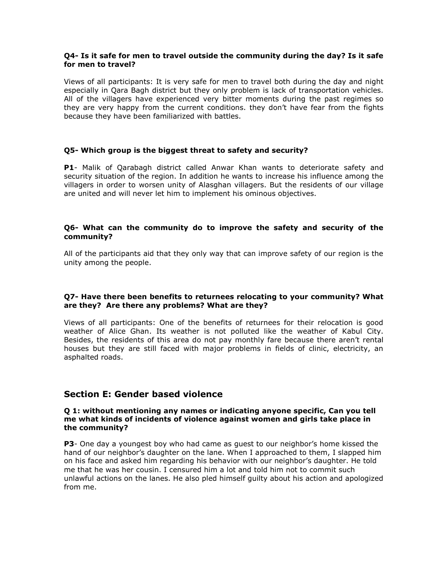### **Q4- Is it safe for men to travel outside the community during the day? Is it safe for men to travel?**

Views of all participants: It is very safe for men to travel both during the day and night especially in Qara Bagh district but they only problem is lack of transportation vehicles. All of the villagers have experienced very bitter moments during the past regimes so they are very happy from the current conditions. they don't have fear from the fights because they have been familiarized with battles.

### **Q5- Which group is the biggest threat to safety and security?**

**P1**- Malik of Qarabagh district called Anwar Khan wants to deteriorate safety and security situation of the region. In addition he wants to increase his influence among the villagers in order to worsen unity of Alasghan villagers. But the residents of our village are united and will never let him to implement his ominous objectives.

### **Q6- What can the community do to improve the safety and security of the community?**

All of the participants aid that they only way that can improve safety of our region is the unity among the people.

### **Q7- Have there been benefits to returnees relocating to your community? What are they? Are there any problems? What are they?**

Views of all participants: One of the benefits of returnees for their relocation is good weather of Alice Ghan. Its weather is not polluted like the weather of Kabul City. Besides, the residents of this area do not pay monthly fare because there aren't rental houses but they are still faced with major problems in fields of clinic, electricity, an asphalted roads.

# **Section E: Gender based violence**

#### **Q 1: without mentioning any names or indicating anyone specific, Can you tell me what kinds of incidents of violence against women and girls take place in the community?**

**P3**- One day a youngest boy who had came as guest to our neighbor's home kissed the hand of our neighbor's daughter on the lane. When I approached to them, I slapped him on his face and asked him regarding his behavior with our neighbor's daughter. He told me that he was her cousin. I censured him a lot and told him not to commit such unlawful actions on the lanes. He also pled himself guilty about his action and apologized from me.